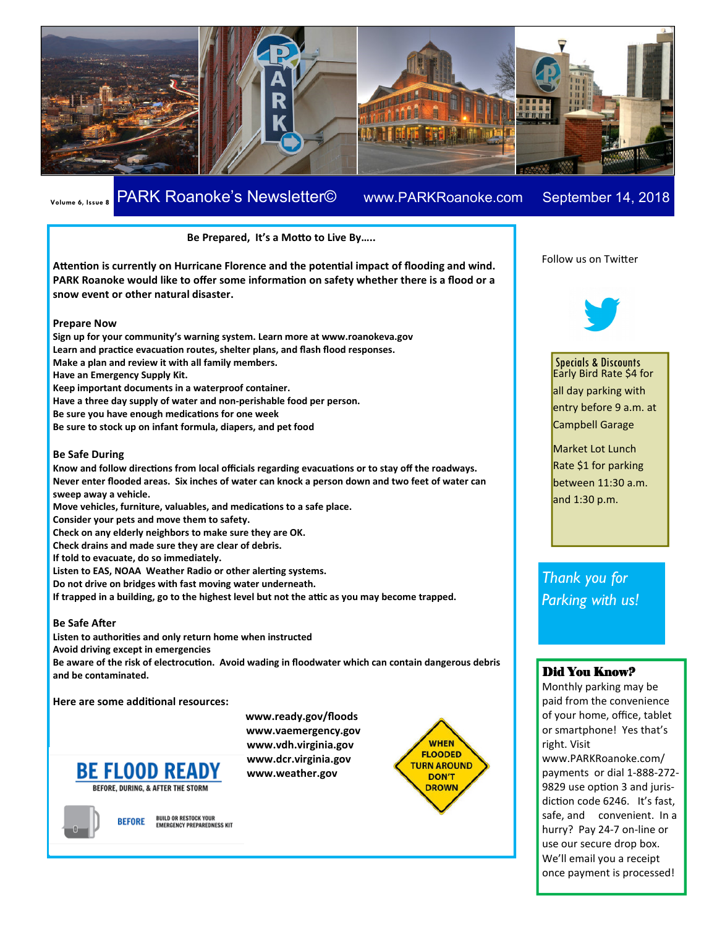

# **Volume 6, Issue 8** PARK Roanoke's Newsletter© www.PARKRoanoke.com September 14, 2018 **Newsletter Date**

#### Be Prepared, It's a Motto to Live By.....

Attention is currently on Hurricane Florence and the potential impact of flooding and wind. **PARK Roanoke would like to offer some information on safety whether there is a flood or a snow event or other natural disaster.** 

#### **Prepare Now**

**Sign up for your community's warning system. Learn more at www.roanokeva.gov**  Learn and practice evacuation routes, shelter plans, and flash flood responses. **Make a plan and review it with all family members. Have an Emergency Supply Kit. Keep important documents in a waterproof container. Have a three day supply of water and non-perishable food per person. Be sure you have enough medications for one week Be sure to stock up on infant formula, diapers, and pet food** 

#### **Be Safe During**

Know and follow directions from local officials regarding evacuations or to stay off the roadways. **Never enter flooded areas. Six inches of water can knock a person down and two feet of water can sweep away a vehicle. Move vehicles, furniture, valuables, and medications to a safe place.** 

**Consider your pets and move them to safety.** 

**Check on any elderly neighbors to make sure they are OK.** 

**Check drains and made sure they are clear of debris.** 

**If told to evacuate, do so immediately.** 

Listen to EAS, NOAA Weather Radio or other alerting systems.

**Do not drive on bridges with fast moving water underneath.** 

If trapped in a building, go to the highest level but not the attic as you may become trapped.

#### **Be Safe After**

Listen to authorities and only return home when instructed **Avoid driving except in emergencies** 

Be aware of the risk of electrocution. Avoid wading in floodwater which can contain dangerous debris **and be contaminated.** 

**Here are some additional resources:** 





BUILD OR RESTOCK YOUR<br>Emergency preparedness kit **BEFORE** 

 **www.ready.gov/floods www.vaemergency.gov www.vdh.virginia.gov www.dcr.virginia.gov www.weather.gov** 



Follow us on Twitter



Specials & Discounts Early Bird Rate \$4 for all day parking with entry before 9 a.m. at Campbell Garage

Market Lot Lunch Rate \$1 for parking between 11:30 a.m. and 1:30 p.m.

*Thank you for Parking with us!* 

# Did You Know?

Monthly parking may be paid from the convenience of your home, office, tablet or smartphone! Yes that's right. Visit www.PARKRoanoke.com/ payments or dial 1-888-272- 9829 use option 3 and jurisdiction code 6246. It's fast, safe, and convenient. In a hurry? Pay 24-7 on-line or use our secure drop box. We'll email you a receipt once payment is processed!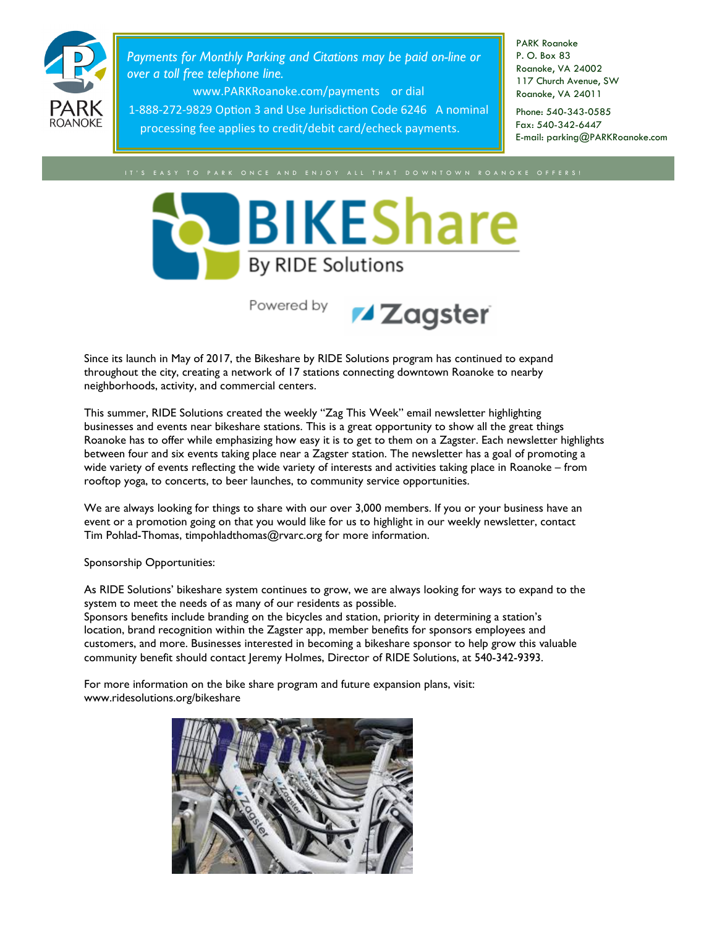

*Payments for Monthly Parking and Citations may be paid on-line or over a toll free telephone line.* 

www.PARKRoanoke.com/payments or dial

1-888-272-9829 Option 3 and Use Jurisdiction Code 6246 A nominal processing fee applies to credit/debit card/echeck payments.

PARK Roanoke P. O. Box 83 Roanoke, VA 24002 117 Church Avenue, SW Roanoke, VA 24011

Phone: 540-343-0585 Fax: 540-342-6447 E-mail: parking@PARKRoanoke.com



Powered by



Since its launch in May of 2017, the Bikeshare by RIDE Solutions program has continued to expand throughout the city, creating a network of 17 stations connecting downtown Roanoke to nearby neighborhoods, activity, and commercial centers.

This summer, RIDE Solutions created the weekly "Zag This Week" email newsletter highlighting businesses and events near bikeshare stations. This is a great opportunity to show all the great things Roanoke has to offer while emphasizing how easy it is to get to them on a Zagster. Each newsletter highlights between four and six events taking place near a Zagster station. The newsletter has a goal of promoting a wide variety of events reflecting the wide variety of interests and activities taking place in Roanoke – from rooftop yoga, to concerts, to beer launches, to community service opportunities.

We are always looking for things to share with our over 3,000 members. If you or your business have an event or a promotion going on that you would like for us to highlight in our weekly newsletter, contact Tim Pohlad-Thomas, timpohladthomas@rvarc.org for more information.

Sponsorship Opportunities:

As RIDE Solutions' bikeshare system continues to grow, we are always looking for ways to expand to the system to meet the needs of as many of our residents as possible.

Sponsors benefits include branding on the bicycles and station, priority in determining a station's location, brand recognition within the Zagster app, member benefits for sponsors employees and customers, and more. Businesses interested in becoming a bikeshare sponsor to help grow this valuable community benefit should contact Jeremy Holmes, Director of RIDE Solutions, at 540-342-9393.

For more information on the bike share program and future expansion plans, visit: www.ridesolutions.org/bikeshare